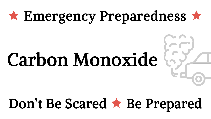### \* Emergency Preparedness \*

# Carbon Monoxide

## Don't Be Scared \* Be Prepared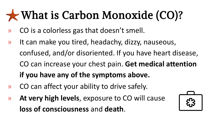### What is Carbon Monoxide (CO)?

- » CO is a colorless gas that doesn't smell.
- » It can make you tired, headachy, dizzy, nauseous, confused, and/or disoriented. If you have heart disease, CO can increase your chest pain. **Get medical attention if you have any of the symptoms above.**
- » CO can affect your ability to drive safely.
- » **At very high levels**, exposure to CO will cause **loss of consciousness** and **death**.

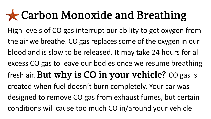#### **x** Carbon Monoxide and Breathing

High levels of CO gas interrupt our ability to get oxygen from the air we breathe. CO gas replaces some of the oxygen in our blood and is slow to be released. It may take 24 hours for all excess CO gas to leave our bodies once we resume breathing fresh air. But why is CO in your vehicle? CO gas is created when fuel doesn't burn completely. Your car was designed to remove CO gas from exhaust fumes, but certain conditions will cause too much CO in/around your vehicle.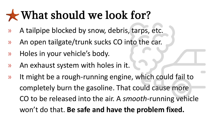#### What should we look for?

- » A tailpipe blocked by snow, debris, tarps, etc.
- » An open tailgate/trunk sucks CO into the car.
- » Holes in your vehicle's body.
- » An exhaust system with holes in it.
- » It might be a rough-running engine, which could fail to completely burn the gasoline. That could cause more CO to be released into the air. A *smooth-*running vehicle won't do that. **Be safe and have the problem fixed.**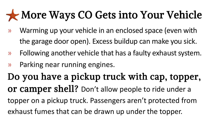#### More Ways CO Gets into Your Vehicle

- » Warming up your vehicle in an enclosed space (even with the garage door open). Excess buildup can make you sick.
- » Following another vehicle that has a faulty exhaust system.
- » Parking near running engines.

Do you have a pickup truck with cap, topper, or camper shell? Don't allow people to ride under a topper on a pickup truck. Passengers aren't protected from exhaust fumes that can be drawn up under the topper.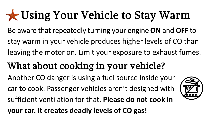### Using Your Vehicle to Stay Warm

- Be aware that repeatedly turning your engine **ON** and **OFF** to stay warm in your vehicle produces higher levels of CO than leaving the motor on. Limit your exposure to exhaust fumes.
- What about cooking in your vehicle? Another CO danger is using a fuel source inside your car to cook. Passenger vehicles aren't designed with sufficient ventilation for that. **Please do not cook in your car. It creates deadly levels of CO gas!**

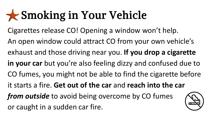#### Smoking in Your Vehicle

Cigarettes release CO! Opening a window won't help.

An open window could attract CO from your own vehicle's exhaust and those driving near you. **If you drop a cigarette in your car** but you're also feeling dizzy and confused due to CO fumes, you might not be able to find the cigarette before

it starts a fire. **Get out of the car** and **reach into the car** 

*from outside* to avoid being overcome by CO fumes or caught in a sudden car fire.

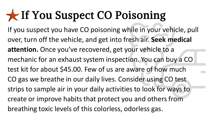### If You Suspect CO Poisoning

If you suspect you have CO poisoning while in your vehicle, pull over, turn off the vehicle, and get into fresh air. **Seek medical attention.** Once you've recovered, get your vehicle to a mechanic for an exhaust system inspection. You can buy a CO test kit for about \$45.00. Few of us are aware of how much CO gas we breathe in our daily lives. Consider using CO test strips to sample air in your daily activities to look for ways to create or improve habits that protect you and others from breathing toxic levels of this colorless, odorless gas.